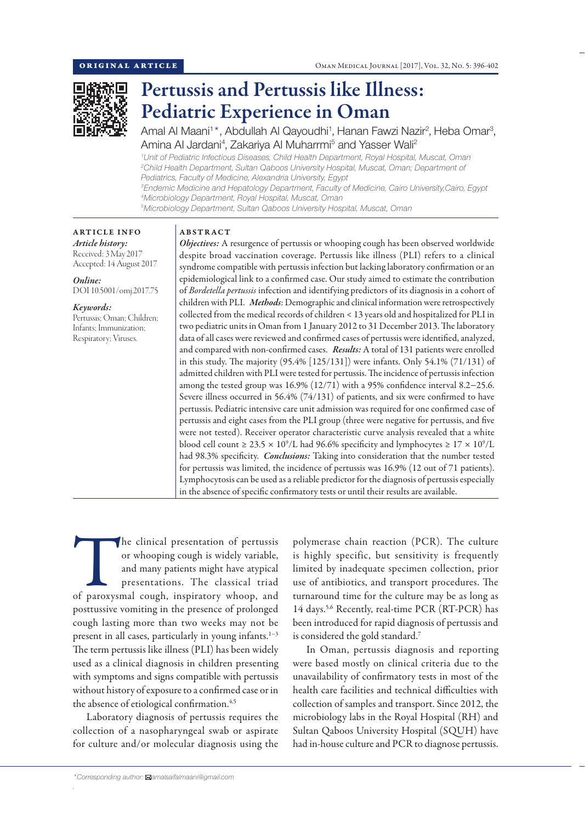

# Pertussis and Pertussis like Illness: Pediatric Experience in Oman

Amal Al Maani<sup>1\*</sup>, Abdullah Al Qayoudhi<sup>1</sup>, Hanan Fawzi Nazir<sup>2</sup>, Heba Omar<sup>3</sup>, Amina AI Jardani<sup>4</sup>, Zakariya AI Muharrmi<sup>5</sup> and Yasser Wali<sup>2</sup>

 *Unit of Pediatric Infectious Diseases, Child Health Department, Royal Hospital, Muscat, Oman Child Health Department, Sultan Qaboos University Hospital, Muscat, Oman; Department of Pediatrics, Faculty of Medicine, Alexandria University, Egypt Endemic Medicine and Hepatology Department, Faculty of Medicine, Cairo University,Cairo, Egypt Microbiology Department, Royal Hospital, Muscat, Oman*

*5 Microbiology Department, Sultan Qaboos University Hospital, Muscat, Oman*

# ARTICLE INFO *Article history:* Received: 3 May 2017

Accepted: 14 August 2017 *Online:*

DOI 10.5001/omj.2017.75

## *Keywords:*

Pertussis; Oman; Children; Infants; Immunization; Respiratory; Viruses.

# ABSTRACT

*Objectives:* A resurgence of pertussis or whooping cough has been observed worldwide despite broad vaccination coverage. Pertussis like illness (PLI) refers to a clinical syndrome compatible with pertussis infection but lacking laboratory confirmation or an epidemiological link to a confirmed case. Our study aimed to estimate the contribution of *Bordetella pertussis* infection and identifying predictors of its diagnosis in a cohort of children with PLI. *Methods*: Demographic and clinical information were retrospectively collected from the medical records of children < 13 years old and hospitalized for PLI in two pediatric units in Oman from 1 January 2012 to 31 December 2013. The laboratory data of all cases were reviewed and confirmed cases of pertussis were identified, analyzed, and compared with non-confirmed cases. *Results:* A total of 131 patients were enrolled in this study. The majority (95.4% [125/131]) were infants. Only 54.1% (71/131) of admitted children with PLI were tested for pertussis. The incidence of pertussis infection among the tested group was 16.9% (12/71) with a 95% confidence interval 8.2−25.6. Severe illness occurred in 56.4% (74/131) of patients, and six were confirmed to have pertussis. Pediatric intensive care unit admission was required for one confirmed case of pertussis and eight cases from the PLI group (three were negative for pertussis, and five were not tested). Receiver operator characteristic curve analysis revealed that a white blood cell count  $\geq 23.5 \times 10^9$ /L had 96.6% specificity and lymphocytes  $\geq 17 \times 10^9$ /L had 98.3% specificity. *Conclusions:* Taking into consideration that the number tested for pertussis was limited, the incidence of pertussis was 16.9% (12 out of 71 patients). Lymphocytosis can be used as a reliable predictor for the diagnosis of pertussis especially in the absence of specific confirmatory tests or until their results are available.

The clinical presentation of pertussis<br>
or whooping cough is widely variable,<br>
and many patients might have atypical<br>
presentations. The classical triad<br>
of paroxysmal cough, inspiratory whoop, and or whooping cough is widely variable, and many patients might have atypical presentations. The classical triad posttussive vomiting in the presence of prolonged cough lasting more than two weeks may not be present in all cases, particularly in young infants.<sup>1−3</sup> The term pertussis like illness (PLI) has been widely used as a clinical diagnosis in children presenting with symptoms and signs compatible with pertussis without history of exposure to a confirmed case or in the absence of etiological confirmation.<sup>4,5</sup>

Laboratory diagnosis of pertussis requires the collection of a nasopharyngeal swab or aspirate for culture and/or molecular diagnosis using the is highly specific, but sensitivity is frequently limited by inadequate specimen collection, prior use of antibiotics, and transport procedures. The turnaround time for the culture may be as long as 14 days.<sup>5,6</sup> Recently, real-time PCR (RT-PCR) has been introduced for rapid diagnosis of pertussis and is considered the gold standard.7

polymerase chain reaction (PCR). The culture

In Oman, pertussis diagnosis and reporting were based mostly on clinical criteria due to the unavailability of confirmatory tests in most of the health care facilities and technical difficulties with collection of samples and transport. Since 2012, the microbiology labs in the Royal Hospital (RH) and Sultan Qaboos University Hospital (SQUH) have had in-house culture and PCR to diagnose pertussis.

*.*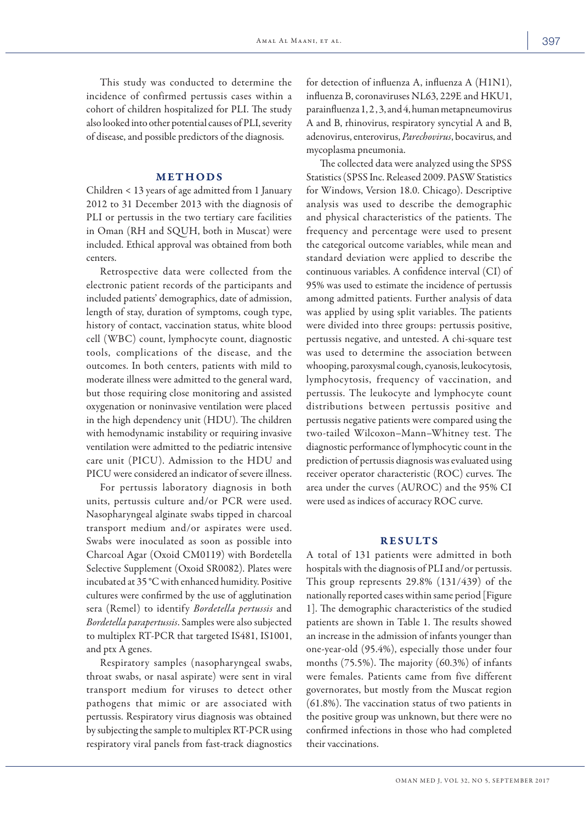This study was conducted to determine the incidence of confirmed pertussis cases within a cohort of children hospitalized for PLI. The study also looked into other potential causes of PLI, severity of disease, and possible predictors of the diagnosis.

#### METHODS

Children < 13 years of age admitted from 1 January 2012 to 31 December 2013 with the diagnosis of PLI or pertussis in the two tertiary care facilities in Oman (RH and SQUH, both in Muscat) were included. Ethical approval was obtained from both centers.

Retrospective data were collected from the electronic patient records of the participants and included patients' demographics, date of admission, length of stay, duration of symptoms, cough type, history of contact, vaccination status, white blood cell (WBC) count, lymphocyte count, diagnostic tools, complications of the disease, and the outcomes. In both centers, patients with mild to moderate illness were admitted to the general ward, but those requiring close monitoring and assisted oxygenation or noninvasive ventilation were placed in the high dependency unit (HDU). The children with hemodynamic instability or requiring invasive ventilation were admitted to the pediatric intensive care unit (PICU). Admission to the HDU and PICU were considered an indicator of severe illness.

For pertussis laboratory diagnosis in both units, pertussis culture and/or PCR were used. Nasopharyngeal alginate swabs tipped in charcoal transport medium and/or aspirates were used. Swabs were inoculated as soon as possible into Charcoal Agar (Oxoid CM0119) with Bordetella Selective Supplement (Oxoid SR0082). Plates were incubated at 35 °C with enhanced humidity. Positive cultures were confirmed by the use of agglutination sera (Remel) to identify *Bordetella pertussis* and *Bordetella parapertussis*. Samples were also subjected to multiplex RT-PCR that targeted IS481, IS1001, and ptx A genes.

Respiratory samples (nasopharyngeal swabs, throat swabs, or nasal aspirate) were sent in viral transport medium for viruses to detect other pathogens that mimic or are associated with pertussis. Respiratory virus diagnosis was obtained by subjecting the sample to multiplex RT-PCR using respiratory viral panels from fast-track diagnostics for detection of influenza A, influenza A (H1N1), influenza B, coronaviruses NL63, 229E and HKU1, parainfluenza 1, 2 , 3, and 4, human metapneumovirus A and B, rhinovirus, respiratory syncytial A and B, adenovirus, enterovirus, *Parechovirus*, bocavirus, and mycoplasma pneumonia.

The collected data were analyzed using the SPSS Statistics (SPSS Inc. Released 2009. PASW Statistics for Windows, Version 18.0. Chicago). Descriptive analysis was used to describe the demographic and physical characteristics of the patients. The frequency and percentage were used to present the categorical outcome variables, while mean and standard deviation were applied to describe the continuous variables. A confidence interval (CI) of 95% was used to estimate the incidence of pertussis among admitted patients. Further analysis of data was applied by using split variables. The patients were divided into three groups: pertussis positive, pertussis negative, and untested. A chi-square test was used to determine the association between whooping, paroxysmal cough, cyanosis, leukocytosis, lymphocytosis, frequency of vaccination, and pertussis. The leukocyte and lymphocyte count distributions between pertussis positive and pertussis negative patients were compared using the two-tailed Wilcoxon–Mann–Whitney test. The diagnostic performance of lymphocytic count in the prediction of pertussis diagnosis was evaluated using receiver operator characteristic (ROC) curves. The area under the curves (AUROC) and the 95% CI were used as indices of accuracy ROC curve.

#### RESULTS

A total of 131 patients were admitted in both hospitals with the diagnosis of PLI and/or pertussis. This group represents 29.8% (131/439) of the nationally reported cases within same period [Figure 1]. The demographic characteristics of the studied patients are shown in Table 1. The results showed an increase in the admission of infants younger than one-year-old (95.4%), especially those under four months (75.5%). The majority (60.3%) of infants were females. Patients came from five different governorates, but mostly from the Muscat region (61.8%). The vaccination status of two patients in the positive group was unknown, but there were no confirmed infections in those who had completed their vaccinations.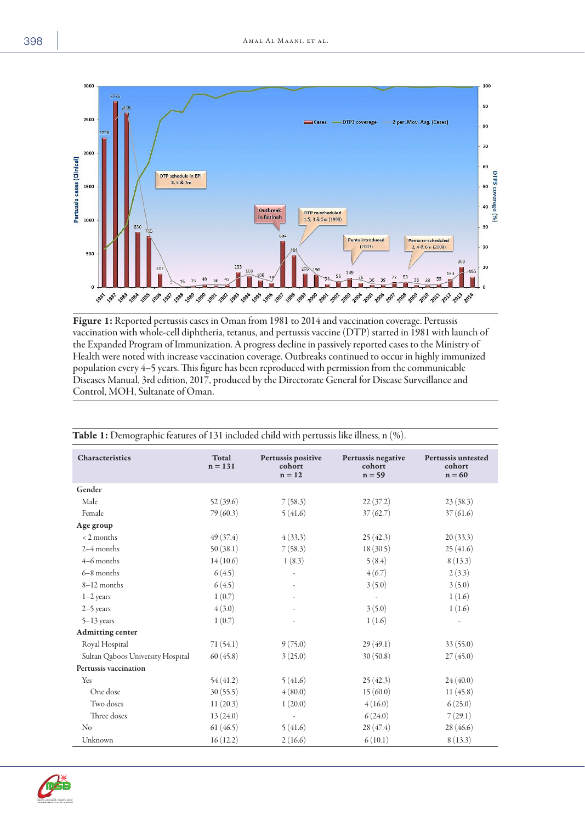

Figure 1: Reported pertussis cases in Oman from 1981 to 2014 and vaccination coverage. Pertussis vaccination with whole-cell diphtheria, tetanus, and pertussis vaccine (DTP) started in 1981 with launch of the Expanded Program of Immunization. A progress decline in passively reported cases to the Ministry of Health were noted with increase vaccination coverage. Outbreaks continued to occur in highly immunized population every 4−5 years. This figure has been reproduced with permission from the communicable Diseases Manual, 3rd edition, 2017, produced by the Directorate General for Disease Surveillance and Control, MOH, Sultanate of Oman.

| Characteristics                   | Total<br>$n = 131$ | Pertussis positive<br>cohort<br>$n = 12$ | Pertussis negative<br>cohort<br>$n = 59$ | Pertussis untested<br>cohort<br>$n = 60$ |
|-----------------------------------|--------------------|------------------------------------------|------------------------------------------|------------------------------------------|
| Gender                            |                    |                                          |                                          |                                          |
| Male                              | 52(39.6)           | 7(58.3)                                  | 22(37.2)                                 | 23(38.3)                                 |
| Female                            | 79(60.3)           | 5(41.6)                                  | 37(62.7)                                 | 37(61.6)                                 |
| Age group                         |                    |                                          |                                          |                                          |
| $< 2$ months                      | 49(37.4)           | 4(33.3)                                  | 25(42.3)                                 | 20(33.3)                                 |
| $2-4$ months                      | 50(38.1)           | 7(58.3)                                  | 18(30.5)                                 | 25(41.6)                                 |
| $4-6$ months                      | 14(10.6)           | 1(8.3)                                   | 5(8.4)                                   | 8(13.3)                                  |
| $6-8$ months                      | 6(4.5)             |                                          | 4(6.7)                                   | 2(3.3)                                   |
| $8-12$ months                     | 6(4.5)             |                                          | 3(5.0)                                   | 3(5.0)                                   |
| $1-2$ years                       | 1(0.7)             |                                          |                                          | 1(1.6)                                   |
| $2-5$ years                       | 4(3.0)             |                                          | 3(5.0)                                   | 1(1.6)                                   |
| $5-13$ years                      | 1(0.7)             |                                          | 1(1.6)                                   | ÷,                                       |
| <b>Admitting center</b>           |                    |                                          |                                          |                                          |
| Royal Hospital                    | 71(54.1)           | 9(75.0)                                  | 29(49.1)                                 | 33(55.0)                                 |
| Sultan Qaboos University Hospital | 60(45.8)           | 3(25.0)                                  | 30(50.8)                                 | 27(45.0)                                 |
| <b>Pertussis vaccination</b>      |                    |                                          |                                          |                                          |
| Yes                               | 54(41.2)           | 5(41.6)                                  | 25(42.3)                                 | 24(40.0)                                 |
| One dose                          | 30(55.5)           | 4(80.0)                                  | 15(60.0)                                 | 11(45.8)                                 |
| Two doses                         | 11(20.3)           | 1(20.0)                                  | 4(16.0)                                  | 6(25.0)                                  |
| Three doses                       | 13(24.0)           | L,                                       | 6(24.0)                                  | 7(29.1)                                  |
| N <sub>o</sub>                    | 61(46.5)           | 5(41.6)                                  | 28(47.4)                                 | 28(46.6)                                 |
| Unknown                           | 16(12.2)           | 2(16.6)                                  | 6(10.1)                                  | 8(13.3)                                  |

Table 1: Demographic features of 131 included child with pertussis like illness, n (%).

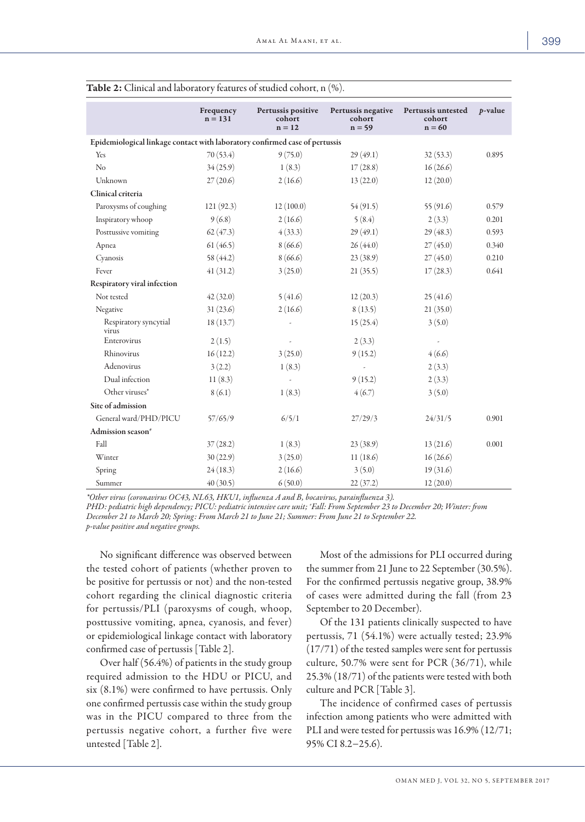|                                                                             | Frequency<br>$n = 131$ | Pertussis positive<br>cohort<br>$n = 12$ | Pertussis negative<br>cohort<br>$n = 59$ | Pertussis untested<br>cohort<br>$n = 60$ | $p$ -value |  |
|-----------------------------------------------------------------------------|------------------------|------------------------------------------|------------------------------------------|------------------------------------------|------------|--|
| Epidemiological linkage contact with laboratory confirmed case of pertussis |                        |                                          |                                          |                                          |            |  |
| Yes                                                                         | 70 (53.4)              | 9(75.0)                                  | 29(49.1)                                 | 32(53.3)                                 | 0.895      |  |
| N <sub>o</sub>                                                              | 34(25.9)               | 1(8.3)                                   | 17(28.8)                                 | 16(26.6)                                 |            |  |
| Unknown                                                                     | 27(20.6)               | 2(16.6)                                  | 13(22.0)                                 | 12(20.0)                                 |            |  |
| Clinical criteria                                                           |                        |                                          |                                          |                                          |            |  |
| Paroxysms of coughing                                                       | 121(92.3)              | 12(100.0)                                | 54(91.5)                                 | 55(91.6)                                 | 0.579      |  |
| Inspiratory whoop                                                           | 9(6.8)                 | 2(16.6)                                  | 5(8.4)                                   | 2(3.3)                                   | 0.201      |  |
| Posttussive vomiting                                                        | 62(47.3)               | 4(33.3)                                  | 29(49.1)                                 | 29(48.3)                                 | 0.593      |  |
| Apnea                                                                       | 61(46.5)               | 8(66.6)                                  | 26(44.0)                                 | 27(45.0)                                 | 0.340      |  |
| Cyanosis                                                                    | 58 (44.2)              | 8(66.6)                                  | 23(38.9)                                 | 27(45.0)                                 | 0.210      |  |
| Fever                                                                       | 41(31.2)               | 3(25.0)                                  | 21(35.5)                                 | 17(28.3)                                 | 0.641      |  |
| Respiratory viral infection                                                 |                        |                                          |                                          |                                          |            |  |
| Not tested                                                                  | 42(32.0)               | 5(41.6)                                  | 12(20.3)                                 | 25(41.6)                                 |            |  |
| Negative                                                                    | 31(23.6)               | 2(16.6)                                  | 8(13.5)                                  | 21(35.0)                                 |            |  |
| Respiratory syncytial<br>virus                                              | 18(13.7)               |                                          | 15(25.4)                                 | 3(5.0)                                   |            |  |
| Enterovirus                                                                 | 2(1.5)                 |                                          | 2(3.3)                                   |                                          |            |  |
| Rhinovirus                                                                  | 16(12.2)               | 3(25.0)                                  | 9(15.2)                                  | 4(6.6)                                   |            |  |
| Adenovirus                                                                  | 3(2.2)                 | 1(8.3)                                   |                                          | 2(3.3)                                   |            |  |
| Dual infection                                                              | 11(8.3)                |                                          | 9(15.2)                                  | 2(3.3)                                   |            |  |
| Other viruses*                                                              | 8(6.1)                 | 1(8.3)                                   | 4(6.7)                                   | 3(5.0)                                   |            |  |
| Site of admission                                                           |                        |                                          |                                          |                                          |            |  |
| General ward/PHD/PICU                                                       | 57/65/9                | 6/5/1                                    | 27/29/3                                  | 24/31/5                                  | 0.901      |  |
| Admission season <sup>#</sup>                                               |                        |                                          |                                          |                                          |            |  |
| Fall                                                                        | 37(28.2)               | 1(8.3)                                   | 23(38.9)                                 | 13(21.6)                                 | 0.001      |  |
| Winter                                                                      | 30(22.9)               | 3(25.0)                                  | 11(18.6)                                 | 16(26.6)                                 |            |  |
| Spring                                                                      | 24(18.3)               | 2(16.6)                                  | 3(5.0)                                   | 19(31.6)                                 |            |  |
| Summer                                                                      | 40(30.5)               | 6(50.0)                                  | 22(37.2)                                 | 12(20.0)                                 |            |  |

| <b>Table 2:</b> Clinical and laboratory features of studied cohort, $n$ $(\%)$ . |  |  |
|----------------------------------------------------------------------------------|--|--|
|----------------------------------------------------------------------------------|--|--|

*\*Other virus (coronavirus OC43, NL63, HKU1, influenza A and B, bocavirus, parainfluenza 3). PHD: pediatric high dependency; PICU: pediatric intensive care unit; # Fall: From September 23 to December 20; Winter: from December 21 to March 20; Spring: From March 21 to June 21; Summer: From June 21 to September 22. p-value positive and negative groups.*

No significant difference was observed between the tested cohort of patients (whether proven to be positive for pertussis or not) and the non-tested cohort regarding the clinical diagnostic criteria for pertussis/PLI (paroxysms of cough, whoop, posttussive vomiting, apnea, cyanosis, and fever) or epidemiological linkage contact with laboratory confirmed case of pertussis [Table 2].

Over half (56.4%) of patients in the study group required admission to the HDU or PICU, and six (8.1%) were confirmed to have pertussis. Only one confirmed pertussis case within the study group was in the PICU compared to three from the pertussis negative cohort, a further five were untested [Table 2].

Most of the admissions for PLI occurred during the summer from 21 June to 22 September (30.5%). For the confirmed pertussis negative group, 38.9% of cases were admitted during the fall (from 23 September to 20 December).

Of the 131 patients clinically suspected to have pertussis, 71 (54.1%) were actually tested; 23.9% (17/71) of the tested samples were sent for pertussis culture, 50.7% were sent for PCR (36/71), while 25.3% (18/71) of the patients were tested with both culture and PCR [Table 3].

The incidence of confirmed cases of pertussis infection among patients who were admitted with PLI and were tested for pertussis was 16.9% (12/71; 95% CI 8.2−25.6).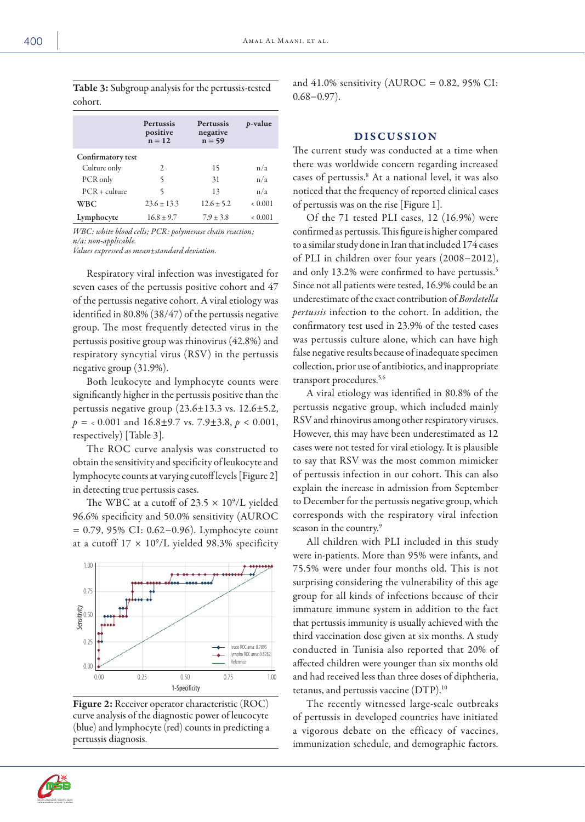Table 3: Subgroup analysis for the pertussis-tested cohort.

|                   | <b>Pertussis</b><br>positive | <b>Pertussis</b><br>negative | $p$ -value  |  |
|-------------------|------------------------------|------------------------------|-------------|--|
|                   | $n = 12$                     | $n = 59$                     |             |  |
| Confirmatory test |                              |                              |             |  |
| Culture only      | 2                            | 15                           | n/a         |  |
| PCR only          | 5                            | 31                           | n/a         |  |
| $PCR + culture$   | 5                            | 13                           | n/a         |  |
| <b>WBC</b>        | $23.6 \pm 13.3$              | $12.6 \pm 5.2$               | ${}< 0.001$ |  |
| Lymphocyte        | $16.8 \pm 9.7$               | $7.9 \pm 3.8$                | 0.001       |  |

*WBC: white blood cells; PCR: polymerase chain reaction; n/a: non-applicable. Values expressed as mean*±*standard deviation.*

Respiratory viral infection was investigated for seven cases of the pertussis positive cohort and 47 of the pertussis negative cohort. A viral etiology was identified in 80.8% (38/47) of the pertussis negative group. The most frequently detected virus in the pertussis positive group was rhinovirus (42.8%) and respiratory syncytial virus (RSV) in the pertussis negative group (31.9%).

Both leukocyte and lymphocyte counts were significantly higher in the pertussis positive than the pertussis negative group (23.6±13.3 vs. 12.6±5.2, *p =* < 0.001 and 16.8±9.7 vs. 7.9±3.8, *p* < 0.001, respectively) [Table 3].

The ROC curve analysis was constructed to obtain the sensitivity and specificity of leukocyte and lymphocyte counts at varying cutoff levels [Figure 2] in detecting true pertussis cases.

The WBC at a cutoff of 23.5  $\times$  10<sup>9</sup>/L yielded 96.6% specificity and 50.0% sensitivity (AUROC = 0.79, 95% CI: 0.62−0.96). Lymphocyte count at a cutoff  $17 \times 10^9$ /L yielded 98.3% specificity



Figure 2: Receiver operator characteristic (ROC) curve analysis of the diagnostic power of leucocyte (blue) and lymphocyte (red) counts in predicting a pertussis diagnosis.

and  $41.0\%$  sensitivity (AUROC = 0.82, 95% CI: 0.68−0.97).

### DISCUSSION

The current study was conducted at a time when there was worldwide concern regarding increased cases of pertussis.8 At a national level, it was also noticed that the frequency of reported clinical cases of pertussis was on the rise [Figure 1].

Of the 71 tested PLI cases, 12 (16.9%) were confirmed as pertussis. This figure is higher compared to a similar study done in Iran that included 174 cases of PLI in children over four years (2008−2012), and only 13.2% were confirmed to have pertussis.<sup>5</sup> Since not all patients were tested, 16.9% could be an underestimate of the exact contribution of *Bordetella pertussis* infection to the cohort. In addition, the confirmatory test used in 23.9% of the tested cases was pertussis culture alone, which can have high false negative results because of inadequate specimen collection, prior use of antibiotics, and inappropriate transport procedures.<sup>5,6</sup>

A viral etiology was identified in 80.8% of the pertussis negative group, which included mainly RSV and rhinovirus among other respiratory viruses. However, this may have been underestimated as 12 cases were not tested for viral etiology. It is plausible to say that RSV was the most common mimicker of pertussis infection in our cohort. This can also explain the increase in admission from September to December for the pertussis negative group, which corresponds with the respiratory viral infection season in the country.<sup>9</sup>

All children with PLI included in this study were in-patients. More than 95% were infants, and 75.5% were under four months old. This is not surprising considering the vulnerability of this age group for all kinds of infections because of their immature immune system in addition to the fact that pertussis immunity is usually achieved with the third vaccination dose given at six months. A study conducted in Tunisia also reported that 20% of affected children were younger than six months old and had received less than three doses of diphtheria, tetanus, and pertussis vaccine (DTP).10

The recently witnessed large-scale outbreaks of pertussis in developed countries have initiated a vigorous debate on the efficacy of vaccines, immunization schedule, and demographic factors.

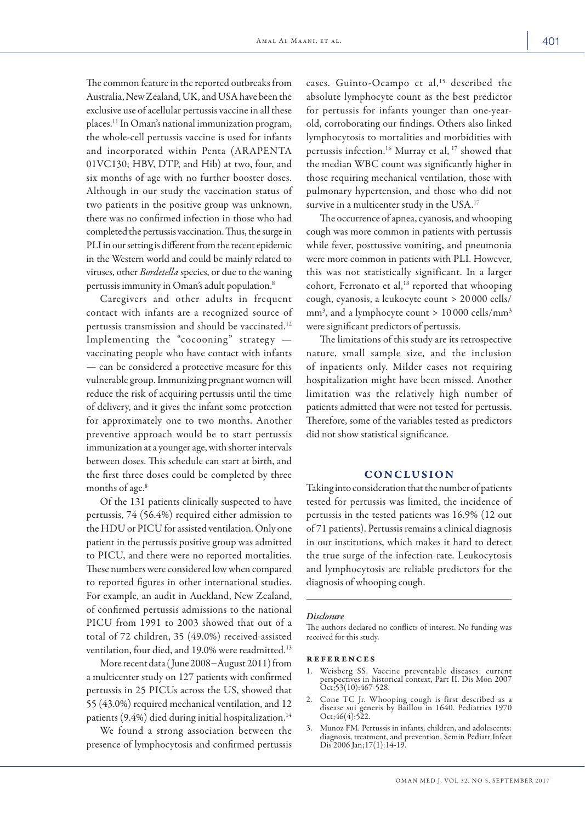The common feature in the reported outbreaks from Australia, New Zealand, UK, and USA have been the exclusive use of acellular pertussis vaccine in all these places.11 In Oman's national immunization program, the whole-cell pertussis vaccine is used for infants and incorporated within Penta (ARAPENTA 01VC130; HBV, DTP, and Hib) at two, four, and six months of age with no further booster doses. Although in our study the vaccination status of two patients in the positive group was unknown, there was no confirmed infection in those who had completed the pertussis vaccination. Thus, the surge in PLI in our setting is different from the recent epidemic in the Western world and could be mainly related to viruses, other *Bordetella* species, or due to the waning pertussis immunity in Oman's adult population.8

Caregivers and other adults in frequent contact with infants are a recognized source of pertussis transmission and should be vaccinated.<sup>12</sup> Implementing the "cocooning" strategy  $$ vaccinating people who have contact with infants — can be considered a protective measure for this vulnerable group. Immunizing pregnant women will reduce the risk of acquiring pertussis until the time of delivery, and it gives the infant some protection for approximately one to two months. Another preventive approach would be to start pertussis immunization at a younger age, with shorter intervals between doses. This schedule can start at birth, and the first three doses could be completed by three months of age.<sup>8</sup>

Of the 131 patients clinically suspected to have pertussis, 74 (56.4%) required either admission to the HDU or PICU for assisted ventilation. Only one patient in the pertussis positive group was admitted to PICU, and there were no reported mortalities. These numbers were considered low when compared to reported figures in other international studies. For example, an audit in Auckland, New Zealand, of confirmed pertussis admissions to the national PICU from 1991 to 2003 showed that out of a total of 72 children, 35 (49.0%) received assisted ventilation, four died, and 19.0% were readmitted.13

More recent data ( June 2008−August 2011) from a multicenter study on 127 patients with confirmed pertussis in 25 PICUs across the US, showed that 55 (43.0%) required mechanical ventilation, and 12 patients  $(9.4\%)$  died during initial hospitalization.<sup>14</sup>

We found a strong association between the presence of lymphocytosis and confirmed pertussis cases. Guinto-Ocampo et al,<sup>15</sup> described the absolute lymphocyte count as the best predictor for pertussis for infants younger than one-yearold, corroborating our findings. Others also linked lymphocytosis to mortalities and morbidities with pertussis infection.16 Murray et al, 17 showed that the median WBC count was significantly higher in those requiring mechanical ventilation, those with pulmonary hypertension, and those who did not survive in a multicenter study in the USA.<sup>17</sup>

The occurrence of apnea, cyanosis, and whooping cough was more common in patients with pertussis while fever, posttussive vomiting, and pneumonia were more common in patients with PLI. However, this was not statistically significant. In a larger cohort, Ferronato et al,<sup>18</sup> reported that whooping cough, cyanosis, a leukocyte count > 20 000 cells/ mm3 , and a lymphocyte count > 10 000 cells/mm3 were significant predictors of pertussis.

The limitations of this study are its retrospective nature, small sample size, and the inclusion of inpatients only. Milder cases not requiring hospitalization might have been missed. Another limitation was the relatively high number of patients admitted that were not tested for pertussis. Therefore, some of the variables tested as predictors did not show statistical significance.

### CONCLUSION

Taking into consideration that the number of patients tested for pertussis was limited, the incidence of pertussis in the tested patients was 16.9% (12 out of 71 patients). Pertussis remains a clinical diagnosis in our institutions, which makes it hard to detect the true surge of the infection rate. Leukocytosis and lymphocytosis are reliable predictors for the diagnosis of whooping cough.

#### *Disclosure*

The authors declared no conflicts of interest. No funding was received for this study.

#### references

- 1. Weisberg SS. Vaccine preventable diseases: current perspectives in historical context, Part II. Dis Mon 2007 Oct;53(10):467-528.
- 2. Cone TC Jr. Whooping cough is first described as a disease sui generis by Baillou in 1640. Pediatrics 1970 Oct;46(4):522.
- 3. Munoz FM. Pertussis in infants, children, and adolescents: diagnosis, treatment, and prevention. Semin Pediatr Infect Dis 2006 Jan; 17(1): 14-19.